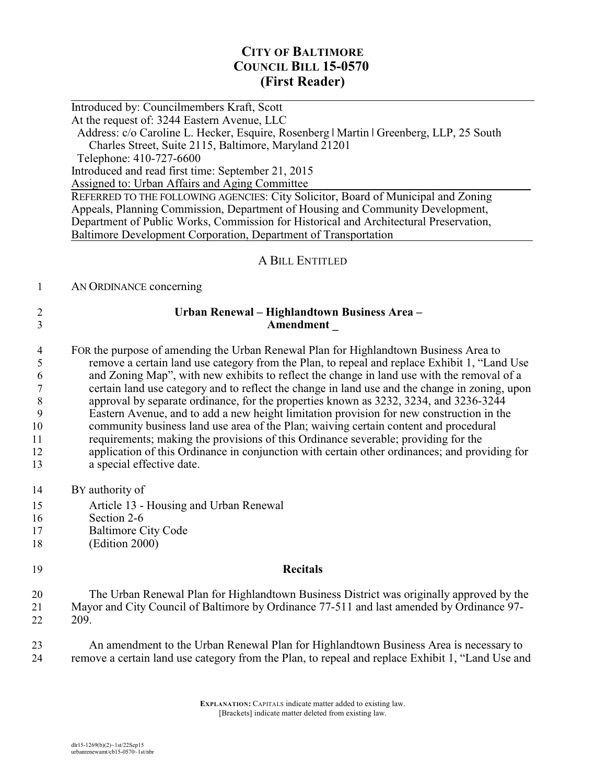# **CITY OF BALTIMORE COUNCIL BILL 15-0570 (First Reader)**

Introduced by: Councilmembers Kraft, Scott At the request of: 3244 Eastern Avenue, LLC Address: c/o Caroline L. Hecker, Esquire, Rosenberg | Martin | Greenberg, LLP, 25 South Charles Street, Suite 2115, Baltimore, Maryland 21201 Telephone: 410-727-6600 Introduced and read first time: September 21, 2015 Assigned to: Urban Affairs and Aging Committee REFERRED TO THE FOLLOWING AGENCIES: City Solicitor, Board of Municipal and Zoning Appeals, Planning Commission, Department of Housing and Community Development, Department of Public Works, Commission for Historical and Architectural Preservation, Baltimore Development Corporation, Department of Transportation A BILL ENTITLED 1 AN ORDINANCE concerning 2 **Urban Renewal – Highlandtown Business Area –**  3 **Amendment \_** 4 FOR the purpose of amending the Urban Renewal Plan for Highlandtown Business Area to 5 remove a certain land use category from the Plan, to repeal and replace Exhibit 1, "Land Use 6 and Zoning Map", with new exhibits to reflect the change in land use with the removal of a 7 certain land use category and to reflect the change in land use and the change in zoning, upon 8 approval by separate ordinance, for the properties known as 3232, 3234, and 3236-3244 9 Eastern Avenue, and to add a new height limitation provision for new construction in the 10 community business land use area of the Plan; waiving certain content and procedural 11 requirements; making the provisions of this Ordinance severable; providing for the 12 application of this Ordinance in conjunction with certain other ordinances; and providing for

- 13 a special effective date.
- 14 BY authority of

 $\overline{a}$ 

- 15 Article 13 Housing and Urban Renewal
- 16 Section 2-6
- 17 Baltimore City Code
- 18 (Edition 2000)

#### 19 **Recitals**

20 The Urban Renewal Plan for Highlandtown Business District was originally approved by the 21 Mayor and City Council of Baltimore by Ordinance 77-511 and last amended by Ordinance 97- 22 209.

23 An amendment to the Urban Renewal Plan for Highlandtown Business Area is necessary to 24 remove a certain land use category from the Plan, to repeal and replace Exhibit 1, "Land Use and

> **EXPLANATION:** CAPITALS indicate matter added to existing law. [Brackets] indicate matter deleted from existing law.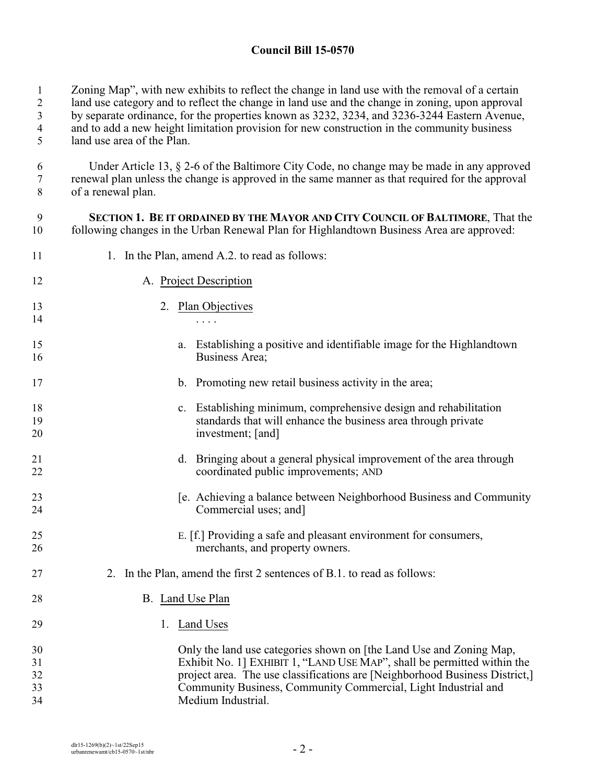### **Council Bill 15-0570**

1 Zoning Map", with new exhibits to reflect the change in land use with the removal of a certain

2 land use category and to reflect the change in land use and the change in zoning, upon approval

3 by separate ordinance, for the properties known as 3232, 3234, and 3236-3244 Eastern Avenue,

4 and to add a new height limitation provision for new construction in the community business

5 land use area of the Plan.

6 Under Article 13, § 2-6 of the Baltimore City Code, no change may be made in any approved 7 renewal plan unless the change is approved in the same manner as that required for the approval of a renewal plan. of a renewal plan.

9 **SECTION 1. BE IT ORDAINED BY THE MAYOR AND CITY COUNCIL OF BALTIMORE**, That the 10 following changes in the Urban Renewal Plan for Highlandtown Business Area are approved:

11 1. In the Plan, amend A.2. to read as follows:

| 12                         | A. Project Description                                                                                                                                                                                                                                                                                                |
|----------------------------|-----------------------------------------------------------------------------------------------------------------------------------------------------------------------------------------------------------------------------------------------------------------------------------------------------------------------|
| 13<br>14                   | 2. Plan Objectives                                                                                                                                                                                                                                                                                                    |
| 15<br>16                   | Establishing a positive and identifiable image for the Highlandtown<br>a.<br>Business Area;                                                                                                                                                                                                                           |
| 17                         | b. Promoting new retail business activity in the area;                                                                                                                                                                                                                                                                |
| 18<br>19<br>20             | c. Establishing minimum, comprehensive design and rehabilitation<br>standards that will enhance the business area through private<br>investment; [and]                                                                                                                                                                |
| 21<br>22                   | d. Bringing about a general physical improvement of the area through<br>coordinated public improvements; AND                                                                                                                                                                                                          |
| 23<br>24                   | [e. Achieving a balance between Neighborhood Business and Community<br>Commercial uses; and]                                                                                                                                                                                                                          |
| 25<br>26                   | E. [f.] Providing a safe and pleasant environment for consumers,<br>merchants, and property owners.                                                                                                                                                                                                                   |
| 27                         | 2. In the Plan, amend the first 2 sentences of B.1, to read as follows:                                                                                                                                                                                                                                               |
| 28                         | B. Land Use Plan                                                                                                                                                                                                                                                                                                      |
| 29                         | 1.<br>Land Uses                                                                                                                                                                                                                                                                                                       |
| 30<br>31<br>32<br>33<br>34 | Only the land use categories shown on [the Land Use and Zoning Map,<br>Exhibit No. 1] EXHIBIT 1, "LAND USE MAP", shall be permitted within the<br>project area. The use classifications are [Neighborhood Business District,]<br>Community Business, Community Commercial, Light Industrial and<br>Medium Industrial. |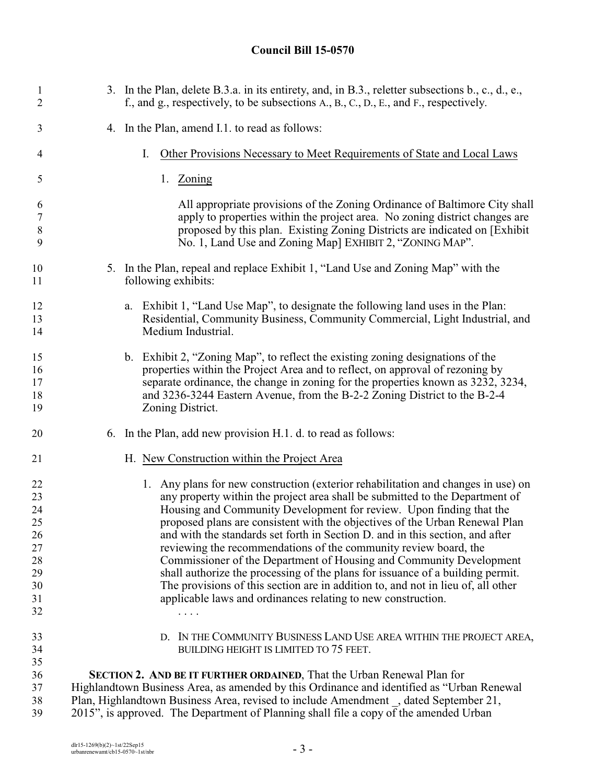# **Council Bill 15-0570**

| $\mathbf{1}$<br>2                     | 3. In the Plan, delete B.3.a. in its entirety, and, in B.3., reletter subsections b., c., d., e.,<br>f., and g., respectively, to be subsections A., B., C., D., E., and F., respectively.                                                                                                                                                           |
|---------------------------------------|------------------------------------------------------------------------------------------------------------------------------------------------------------------------------------------------------------------------------------------------------------------------------------------------------------------------------------------------------|
| 3                                     | 4. In the Plan, amend I.1. to read as follows:                                                                                                                                                                                                                                                                                                       |
| 4                                     | Other Provisions Necessary to Meet Requirements of State and Local Laws<br>Ι.                                                                                                                                                                                                                                                                        |
| 5                                     | 1.<br>Zoning                                                                                                                                                                                                                                                                                                                                         |
| 6<br>$\boldsymbol{7}$<br>$\,8\,$<br>9 | All appropriate provisions of the Zoning Ordinance of Baltimore City shall<br>apply to properties within the project area. No zoning district changes are<br>proposed by this plan. Existing Zoning Districts are indicated on [Exhibit]<br>No. 1, Land Use and Zoning Map] EXHIBIT 2, "ZONING MAP".                                                 |
| 10<br>11                              | 5. In the Plan, repeal and replace Exhibit 1, "Land Use and Zoning Map" with the<br>following exhibits:                                                                                                                                                                                                                                              |
| 12<br>13<br>14                        | Exhibit 1, "Land Use Map", to designate the following land uses in the Plan:<br>a.<br>Residential, Community Business, Community Commercial, Light Industrial, and<br>Medium Industrial.                                                                                                                                                             |
| 15<br>16<br>17<br>18<br>19            | b. Exhibit 2, "Zoning Map", to reflect the existing zoning designations of the<br>properties within the Project Area and to reflect, on approval of rezoning by<br>separate ordinance, the change in zoning for the properties known as 3232, 3234,<br>and 3236-3244 Eastern Avenue, from the B-2-2 Zoning District to the B-2-4<br>Zoning District. |
| 20                                    | 6. In the Plan, add new provision H.1. d. to read as follows:                                                                                                                                                                                                                                                                                        |
| 21                                    | H. New Construction within the Project Area                                                                                                                                                                                                                                                                                                          |
| 22<br>23                              | 1. Any plans for new construction (exterior rehabilitation and changes in use) on<br>any property within the project area shall be submitted to the Department of                                                                                                                                                                                    |
| 24                                    | Housing and Community Development for review. Upon finding that the                                                                                                                                                                                                                                                                                  |
| 25                                    | proposed plans are consistent with the objectives of the Urban Renewal Plan                                                                                                                                                                                                                                                                          |
| 26                                    | and with the standards set forth in Section D. and in this section, and after                                                                                                                                                                                                                                                                        |
| 27                                    | reviewing the recommendations of the community review board, the                                                                                                                                                                                                                                                                                     |
| 28                                    | Commissioner of the Department of Housing and Community Development                                                                                                                                                                                                                                                                                  |
| 29                                    | shall authorize the processing of the plans for issuance of a building permit.                                                                                                                                                                                                                                                                       |
| 30                                    | The provisions of this section are in addition to, and not in lieu of, all other                                                                                                                                                                                                                                                                     |
| 31                                    | applicable laws and ordinances relating to new construction.                                                                                                                                                                                                                                                                                         |
| 32                                    |                                                                                                                                                                                                                                                                                                                                                      |
| 33                                    | D. IN THE COMMUNITY BUSINESS LAND USE AREA WITHIN THE PROJECT AREA,                                                                                                                                                                                                                                                                                  |
| 34                                    | BUILDING HEIGHT IS LIMITED TO 75 FEET.                                                                                                                                                                                                                                                                                                               |
| 35                                    |                                                                                                                                                                                                                                                                                                                                                      |
| 36                                    | SECTION 2. AND BE IT FURTHER ORDAINED, That the Urban Renewal Plan for                                                                                                                                                                                                                                                                               |
| 37                                    | Highlandtown Business Area, as amended by this Ordinance and identified as "Urban Renewal                                                                                                                                                                                                                                                            |
| 38                                    | Plan, Highlandtown Business Area, revised to include Amendment, dated September 21,                                                                                                                                                                                                                                                                  |
| 39                                    | 2015", is approved. The Department of Planning shall file a copy of the amended Urban                                                                                                                                                                                                                                                                |